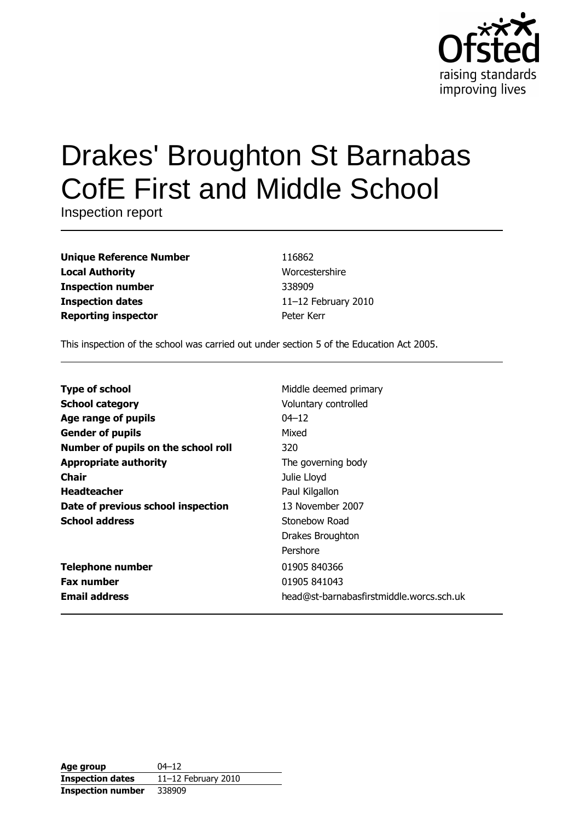

# **Drakes' Broughton St Barnabas CofE First and Middle School**

Inspection report

| <b>Unique Reference Number</b> |
|--------------------------------|
| <b>Local Authority</b>         |
| <b>Inspection number</b>       |
| <b>Inspection dates</b>        |
| <b>Reporting inspector</b>     |

116862 Worcestershire 338909 11-12 February 2010 Peter Kerr

This inspection of the school was carried out under section 5 of the Education Act 2005.

| <b>Type of school</b>               | Middle deemed primary                    |
|-------------------------------------|------------------------------------------|
| <b>School category</b>              | Voluntary controlled                     |
| Age range of pupils                 | $04 - 12$                                |
| <b>Gender of pupils</b>             | Mixed                                    |
| Number of pupils on the school roll | 320                                      |
| <b>Appropriate authority</b>        | The governing body                       |
| <b>Chair</b>                        | Julie Lloyd                              |
| <b>Headteacher</b>                  | Paul Kilgallon                           |
| Date of previous school inspection  | 13 November 2007                         |
| <b>School address</b>               | Stonebow Road                            |
|                                     | Drakes Broughton                         |
|                                     | Pershore                                 |
| <b>Telephone number</b>             | 01905 840366                             |
| <b>Fax number</b>                   | 01905 841043                             |
| <b>Email address</b>                | head@st-barnabasfirstmiddle.worcs.sch.uk |

| Age group                | $04 - 12$              |
|--------------------------|------------------------|
| <b>Inspection dates</b>  | 11 $-12$ February 2010 |
| <b>Inspection number</b> | 338909                 |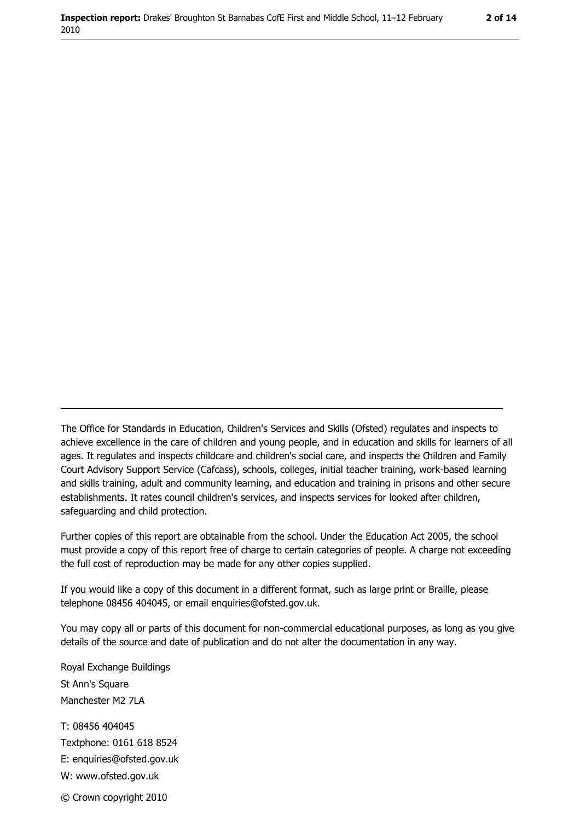The Office for Standards in Education, Children's Services and Skills (Ofsted) regulates and inspects to achieve excellence in the care of children and young people, and in education and skills for learners of all ages. It regulates and inspects childcare and children's social care, and inspects the Children and Family Court Advisory Support Service (Cafcass), schools, colleges, initial teacher training, work-based learning and skills training, adult and community learning, and education and training in prisons and other secure establishments. It rates council children's services, and inspects services for looked after children, safequarding and child protection.

Further copies of this report are obtainable from the school. Under the Education Act 2005, the school must provide a copy of this report free of charge to certain categories of people. A charge not exceeding the full cost of reproduction may be made for any other copies supplied.

If you would like a copy of this document in a different format, such as large print or Braille, please telephone 08456 404045, or email enquiries@ofsted.gov.uk.

You may copy all or parts of this document for non-commercial educational purposes, as long as you give details of the source and date of publication and do not alter the documentation in any way.

Royal Exchange Buildings St Ann's Square Manchester M2 7LA T: 08456 404045 Textphone: 0161 618 8524 E: enquiries@ofsted.gov.uk W: www.ofsted.gov.uk © Crown copyright 2010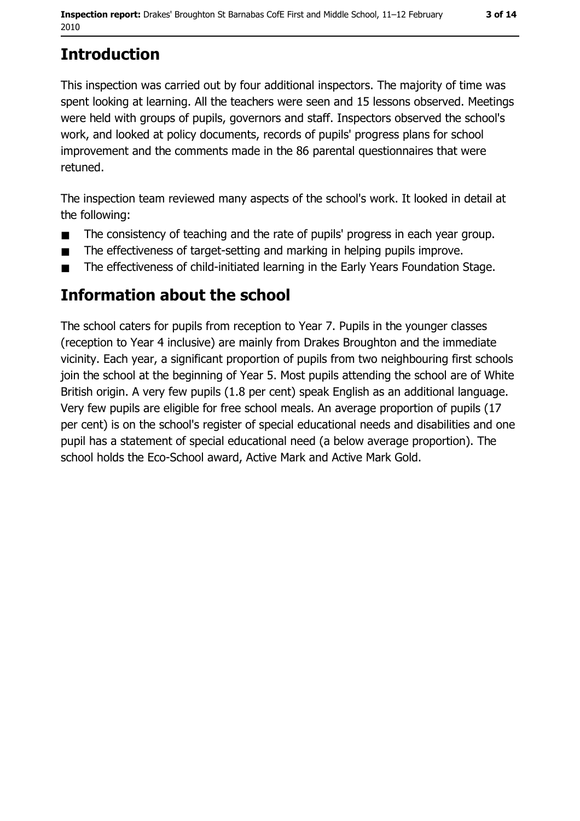# **Introduction**

This inspection was carried out by four additional inspectors. The majority of time was spent looking at learning. All the teachers were seen and 15 lessons observed. Meetings were held with groups of pupils, governors and staff. Inspectors observed the school's work, and looked at policy documents, records of pupils' progress plans for school improvement and the comments made in the 86 parental questionnaires that were retuned.

The inspection team reviewed many aspects of the school's work. It looked in detail at the following:

- The consistency of teaching and the rate of pupils' progress in each year group.  $\blacksquare$
- The effectiveness of target-setting and marking in helping pupils improve.  $\blacksquare$
- The effectiveness of child-initiated learning in the Early Years Foundation Stage.  $\blacksquare$

## Information about the school

The school caters for pupils from reception to Year 7. Pupils in the younger classes (reception to Year 4 inclusive) are mainly from Drakes Broughton and the immediate vicinity. Each year, a significant proportion of pupils from two neighbouring first schools join the school at the beginning of Year 5. Most pupils attending the school are of White British origin. A very few pupils (1.8 per cent) speak English as an additional language. Very few pupils are eligible for free school meals. An average proportion of pupils (17 per cent) is on the school's register of special educational needs and disabilities and one pupil has a statement of special educational need (a below average proportion). The school holds the Eco-School award, Active Mark and Active Mark Gold.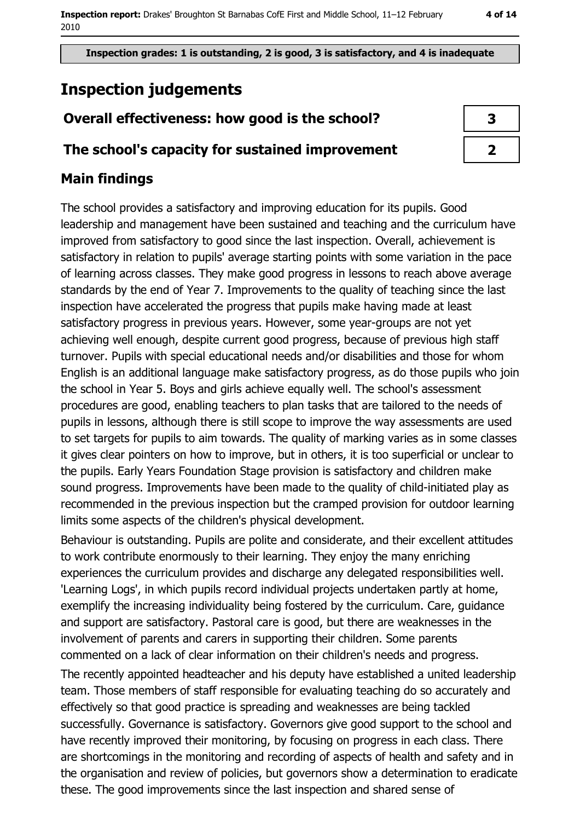Inspection grades: 1 is outstanding, 2 is good, 3 is satisfactory, and 4 is inadequate

# **Inspection judgements**

## Overall effectiveness: how good is the school?

#### The school's capacity for sustained improvement

## **Main findings**

The school provides a satisfactory and improving education for its pupils. Good leadership and management have been sustained and teaching and the curriculum have improved from satisfactory to good since the last inspection. Overall, achievement is satisfactory in relation to pupils' average starting points with some variation in the pace of learning across classes. They make good progress in lessons to reach above average standards by the end of Year 7. Improvements to the quality of teaching since the last inspection have accelerated the progress that pupils make having made at least satisfactory progress in previous years. However, some year-groups are not yet achieving well enough, despite current good progress, because of previous high staff turnover. Pupils with special educational needs and/or disabilities and those for whom English is an additional language make satisfactory progress, as do those pupils who join the school in Year 5. Boys and girls achieve equally well. The school's assessment procedures are good, enabling teachers to plan tasks that are tailored to the needs of pupils in lessons, although there is still scope to improve the way assessments are used to set targets for pupils to aim towards. The quality of marking varies as in some classes it gives clear pointers on how to improve, but in others, it is too superficial or unclear to the pupils. Early Years Foundation Stage provision is satisfactory and children make sound progress. Improvements have been made to the quality of child-initiated play as recommended in the previous inspection but the cramped provision for outdoor learning limits some aspects of the children's physical development.

Behaviour is outstanding. Pupils are polite and considerate, and their excellent attitudes to work contribute enormously to their learning. They enjoy the many enriching experiences the curriculum provides and discharge any delegated responsibilities well. 'Learning Logs', in which pupils record individual projects undertaken partly at home, exemplify the increasing individuality being fostered by the curriculum. Care, guidance and support are satisfactory. Pastoral care is good, but there are weaknesses in the involvement of parents and carers in supporting their children. Some parents commented on a lack of clear information on their children's needs and progress.

The recently appointed headteacher and his deputy have established a united leadership team. Those members of staff responsible for evaluating teaching do so accurately and effectively so that good practice is spreading and weaknesses are being tackled successfully. Governance is satisfactory. Governors give good support to the school and have recently improved their monitoring, by focusing on progress in each class. There are shortcomings in the monitoring and recording of aspects of health and safety and in the organisation and review of policies, but governors show a determination to eradicate these. The good improvements since the last inspection and shared sense of

| 3 |  |
|---|--|
|   |  |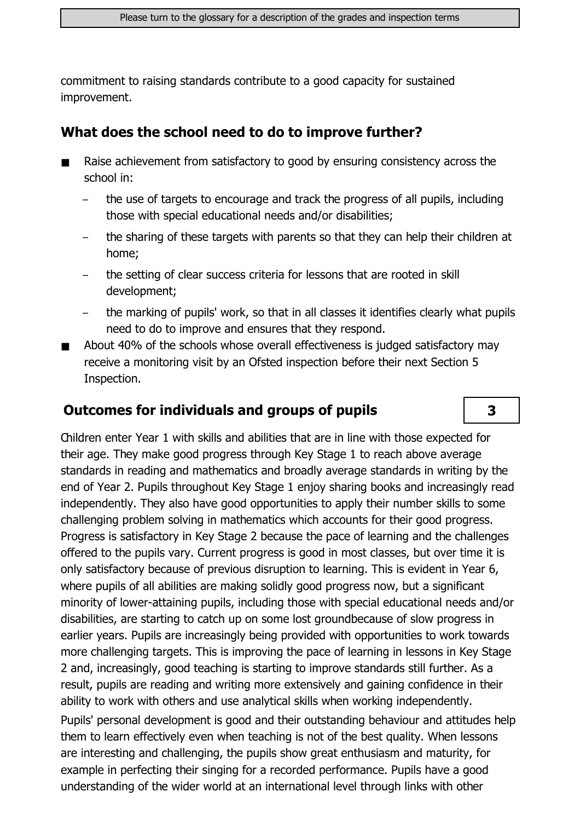commitment to raising standards contribute to a good capacity for sustained improvement.

#### What does the school need to do to improve further?

- Raise achievement from satisfactory to good by ensuring consistency across the  $\blacksquare$ school in:
	- the use of targets to encourage and track the progress of all pupils, including those with special educational needs and/or disabilities;
	- the sharing of these targets with parents so that they can help their children at home;
	- the setting of clear success criteria for lessons that are rooted in skill development;
	- the marking of pupils' work, so that in all classes it identifies clearly what pupils need to do to improve and ensures that they respond.
- About 40% of the schools whose overall effectiveness is judged satisfactory may  $\blacksquare$ receive a monitoring visit by an Ofsted inspection before their next Section 5 Inspection.

### **Outcomes for individuals and groups of pupils**

3

Children enter Year 1 with skills and abilities that are in line with those expected for their age. They make good progress through Key Stage 1 to reach above average standards in reading and mathematics and broadly average standards in writing by the end of Year 2. Pupils throughout Key Stage 1 enjoy sharing books and increasingly read independently. They also have good opportunities to apply their number skills to some challenging problem solving in mathematics which accounts for their good progress. Progress is satisfactory in Key Stage 2 because the pace of learning and the challenges offered to the pupils vary. Current progress is good in most classes, but over time it is only satisfactory because of previous disruption to learning. This is evident in Year 6, where pupils of all abilities are making solidly good progress now, but a significant minority of lower-attaining pupils, including those with special educational needs and/or disabilities, are starting to catch up on some lost groundbecause of slow progress in earlier years. Pupils are increasingly being provided with opportunities to work towards more challenging targets. This is improving the pace of learning in lessons in Key Stage 2 and, increasingly, good teaching is starting to improve standards still further. As a result, pupils are reading and writing more extensively and gaining confidence in their ability to work with others and use analytical skills when working independently. Pupils' personal development is good and their outstanding behaviour and attitudes help them to learn effectively even when teaching is not of the best quality. When lessons are interesting and challenging, the pupils show great enthusiasm and maturity, for example in perfecting their singing for a recorded performance. Pupils have a good understanding of the wider world at an international level through links with other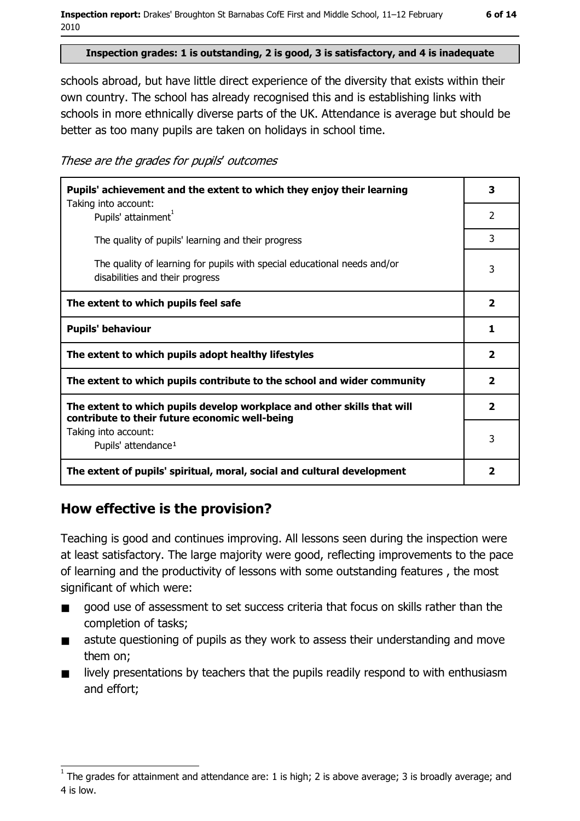#### Inspection grades: 1 is outstanding, 2 is good, 3 is satisfactory, and 4 is inadequate

schools abroad, but have little direct experience of the diversity that exists within their own country. The school has already recognised this and is establishing links with schools in more ethnically diverse parts of the UK. Attendance is average but should be better as too many pupils are taken on holidays in school time.

These are the grades for pupils' outcomes

| Pupils' achievement and the extent to which they enjoy their learning                                                     |                         |  |
|---------------------------------------------------------------------------------------------------------------------------|-------------------------|--|
| Taking into account:<br>Pupils' attainment <sup>1</sup>                                                                   | 2                       |  |
| The quality of pupils' learning and their progress                                                                        | 3                       |  |
| The quality of learning for pupils with special educational needs and/or<br>disabilities and their progress               | 3                       |  |
| The extent to which pupils feel safe                                                                                      | $\overline{\mathbf{2}}$ |  |
| <b>Pupils' behaviour</b>                                                                                                  | 1                       |  |
| The extent to which pupils adopt healthy lifestyles                                                                       | 2                       |  |
| The extent to which pupils contribute to the school and wider community                                                   |                         |  |
| The extent to which pupils develop workplace and other skills that will<br>contribute to their future economic well-being |                         |  |
| Taking into account:<br>Pupils' attendance <sup>1</sup>                                                                   | 3                       |  |
| The extent of pupils' spiritual, moral, social and cultural development                                                   | 2                       |  |

#### How effective is the provision?

Teaching is good and continues improving. All lessons seen during the inspection were at least satisfactory. The large majority were good, reflecting improvements to the pace of learning and the productivity of lessons with some outstanding features, the most significant of which were:

- good use of assessment to set success criteria that focus on skills rather than the  $\blacksquare$ completion of tasks;
- astute questioning of pupils as they work to assess their understanding and move  $\blacksquare$ them on;
- lively presentations by teachers that the pupils readily respond to with enthusiasm  $\blacksquare$ and effort;

The grades for attainment and attendance are: 1 is high; 2 is above average; 3 is broadly average; and 4 is low.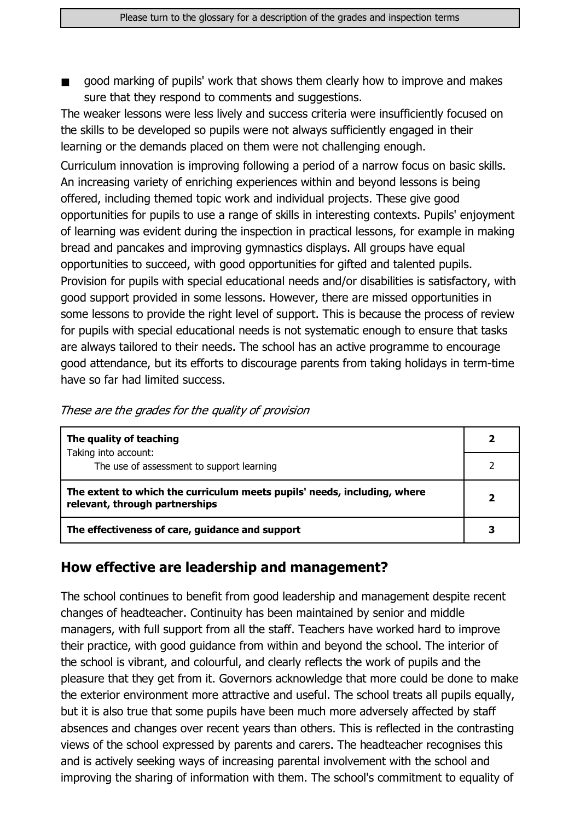good marking of pupils' work that shows them clearly how to improve and makes  $\blacksquare$ sure that they respond to comments and suggestions.

The weaker lessons were less lively and success criteria were insufficiently focused on the skills to be developed so pupils were not always sufficiently engaged in their learning or the demands placed on them were not challenging enough.

Curriculum innovation is improving following a period of a narrow focus on basic skills. An increasing variety of enriching experiences within and beyond lessons is being offered, including themed topic work and individual projects. These give good opportunities for pupils to use a range of skills in interesting contexts. Pupils' enjoyment of learning was evident during the inspection in practical lessons, for example in making bread and pancakes and improving gymnastics displays. All groups have equal opportunities to succeed, with good opportunities for gifted and talented pupils. Provision for pupils with special educational needs and/or disabilities is satisfactory, with good support provided in some lessons. However, there are missed opportunities in some lessons to provide the right level of support. This is because the process of review for pupils with special educational needs is not systematic enough to ensure that tasks are always tailored to their needs. The school has an active programme to encourage good attendance, but its efforts to discourage parents from taking holidays in term-time have so far had limited success.

| These are the grades for the quality of provision |
|---------------------------------------------------|
|---------------------------------------------------|

| The quality of teaching                                                                                    |  |  |
|------------------------------------------------------------------------------------------------------------|--|--|
| Taking into account:<br>The use of assessment to support learning                                          |  |  |
| The extent to which the curriculum meets pupils' needs, including, where<br>relevant, through partnerships |  |  |
| The effectiveness of care, guidance and support                                                            |  |  |

#### How effective are leadership and management?

The school continues to benefit from good leadership and management despite recent changes of headteacher. Continuity has been maintained by senior and middle managers, with full support from all the staff. Teachers have worked hard to improve their practice, with good guidance from within and beyond the school. The interior of the school is vibrant, and colourful, and clearly reflects the work of pupils and the pleasure that they get from it. Governors acknowledge that more could be done to make the exterior environment more attractive and useful. The school treats all pupils equally, but it is also true that some pupils have been much more adversely affected by staff absences and changes over recent years than others. This is reflected in the contrasting views of the school expressed by parents and carers. The headteacher recognises this and is actively seeking ways of increasing parental involvement with the school and improving the sharing of information with them. The school's commitment to equality of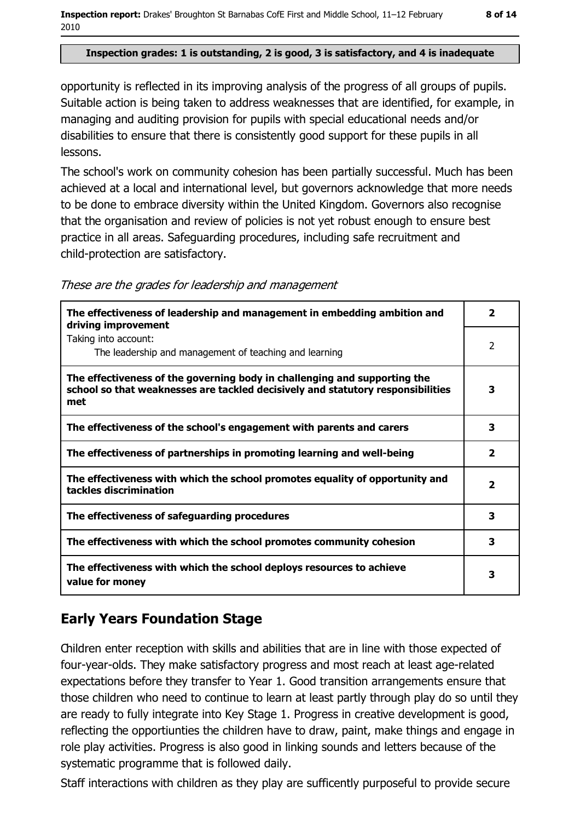#### Inspection grades: 1 is outstanding, 2 is good, 3 is satisfactory, and 4 is inadequate

opportunity is reflected in its improving analysis of the progress of all groups of pupils. Suitable action is being taken to address weaknesses that are identified, for example, in managing and auditing provision for pupils with special educational needs and/or disabilities to ensure that there is consistently good support for these pupils in all lessons.

The school's work on community cohesion has been partially successful. Much has been achieved at a local and international level, but governors acknowledge that more needs to be done to embrace diversity within the United Kingdom. Governors also recognise that the organisation and review of policies is not yet robust enough to ensure best practice in all areas. Safeguarding procedures, including safe recruitment and child-protection are satisfactory.

| The effectiveness of leadership and management in embedding ambition and<br>driving improvement                                                                     | $\overline{\mathbf{2}}$ |
|---------------------------------------------------------------------------------------------------------------------------------------------------------------------|-------------------------|
| Taking into account:<br>The leadership and management of teaching and learning                                                                                      | 2                       |
| The effectiveness of the governing body in challenging and supporting the<br>school so that weaknesses are tackled decisively and statutory responsibilities<br>met | 3                       |
| The effectiveness of the school's engagement with parents and carers                                                                                                | 3                       |
| The effectiveness of partnerships in promoting learning and well-being                                                                                              | $\overline{\mathbf{2}}$ |
| The effectiveness with which the school promotes equality of opportunity and<br>tackles discrimination                                                              | 2                       |
| The effectiveness of safeguarding procedures                                                                                                                        | 3                       |
| The effectiveness with which the school promotes community cohesion                                                                                                 | 3                       |
| The effectiveness with which the school deploys resources to achieve<br>value for money                                                                             | з                       |

These are the grades for leadership and management

## **Early Years Foundation Stage**

Children enter reception with skills and abilities that are in line with those expected of four-year-olds. They make satisfactory progress and most reach at least age-related expectations before they transfer to Year 1. Good transition arrangements ensure that those children who need to continue to learn at least partly through play do so until they are ready to fully integrate into Key Stage 1. Progress in creative development is good, reflecting the opportiunties the children have to draw, paint, make things and engage in role play activities. Progress is also good in linking sounds and letters because of the systematic programme that is followed daily.

Staff interactions with children as they play are sufficently purposeful to provide secure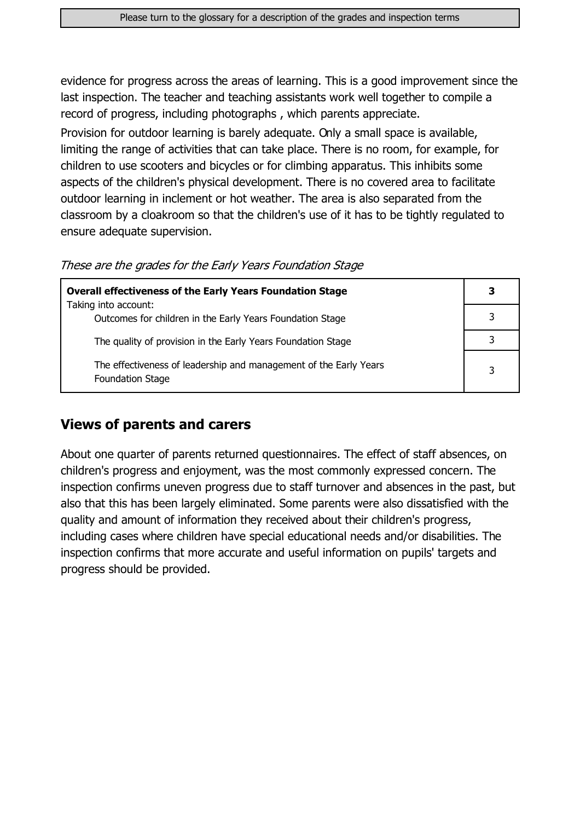evidence for progress across the areas of learning. This is a good improvement since the last inspection. The teacher and teaching assistants work well together to compile a record of progress, including photographs, which parents appreciate.

Provision for outdoor learning is barely adequate. Only a small space is available, limiting the range of activities that can take place. There is no room, for example, for children to use scooters and bicycles or for climbing apparatus. This inhibits some aspects of the children's physical development. There is no covered area to facilitate outdoor learning in inclement or hot weather. The area is also separated from the classroom by a cloakroom so that the children's use of it has to be tightly regulated to ensure adequate supervision.

|  |  | These are the grades for the Early Years Foundation Stage |  |
|--|--|-----------------------------------------------------------|--|
|  |  |                                                           |  |

| <b>Overall effectiveness of the Early Years Foundation Stage</b>                             | 3 |
|----------------------------------------------------------------------------------------------|---|
| Taking into account:                                                                         |   |
| Outcomes for children in the Early Years Foundation Stage                                    |   |
| The quality of provision in the Early Years Foundation Stage                                 |   |
| The effectiveness of leadership and management of the Early Years<br><b>Foundation Stage</b> | 3 |

#### **Views of parents and carers**

About one quarter of parents returned questionnaires. The effect of staff absences, on children's progress and enjoyment, was the most commonly expressed concern. The inspection confirms uneven progress due to staff turnover and absences in the past, but also that this has been largely eliminated. Some parents were also dissatisfied with the quality and amount of information they received about their children's progress, including cases where children have special educational needs and/or disabilities. The inspection confirms that more accurate and useful information on pupils' targets and progress should be provided.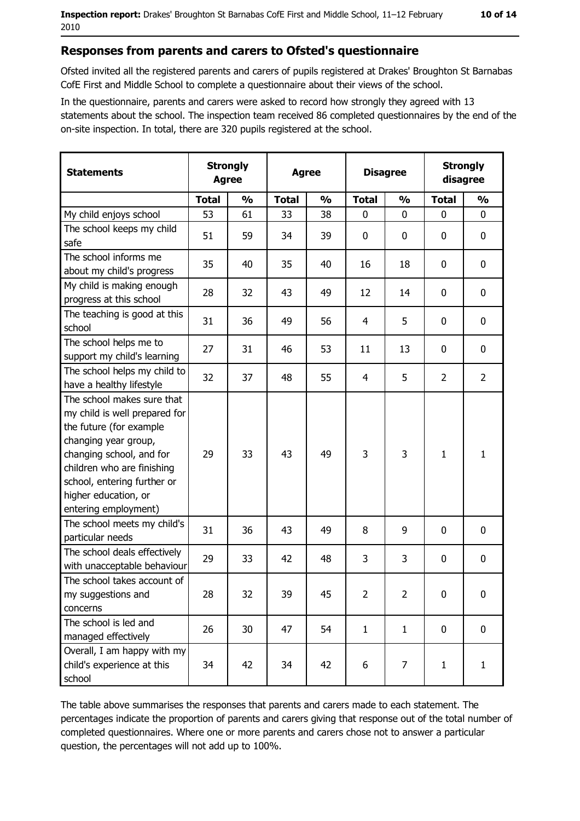#### Responses from parents and carers to Ofsted's questionnaire

Ofsted invited all the registered parents and carers of pupils registered at Drakes' Broughton St Barnabas CofE First and Middle School to complete a questionnaire about their views of the school.

In the questionnaire, parents and carers were asked to record how strongly they agreed with 13 statements about the school. The inspection team received 86 completed questionnaires by the end of the on-site inspection. In total, there are 320 pupils registered at the school.

| <b>Statements</b>                                                                                                                                                                                                                                       | <b>Strongly</b><br><b>Agree</b><br><b>Agree</b> |               |              | <b>Disagree</b> |                | <b>Strongly</b><br>disagree |                |                  |
|---------------------------------------------------------------------------------------------------------------------------------------------------------------------------------------------------------------------------------------------------------|-------------------------------------------------|---------------|--------------|-----------------|----------------|-----------------------------|----------------|------------------|
|                                                                                                                                                                                                                                                         | <b>Total</b>                                    | $\frac{1}{2}$ | <b>Total</b> | $\frac{0}{0}$   | <b>Total</b>   | $\frac{1}{2}$               | <b>Total</b>   | $\frac{1}{2}$    |
| My child enjoys school                                                                                                                                                                                                                                  | 53                                              | 61            | 33           | 38              | 0              | $\Omega$                    | $\Omega$       | $\Omega$         |
| The school keeps my child<br>safe                                                                                                                                                                                                                       | 51                                              | 59            | 34           | 39              | $\mathbf 0$    | 0                           | 0              | 0                |
| The school informs me<br>about my child's progress                                                                                                                                                                                                      | 35                                              | 40            | 35           | 40              | 16             | 18                          | 0              | 0                |
| My child is making enough<br>progress at this school                                                                                                                                                                                                    | 28                                              | 32            | 43           | 49              | 12             | 14                          | 0              | 0                |
| The teaching is good at this<br>school                                                                                                                                                                                                                  | 31                                              | 36            | 49           | 56              | $\overline{4}$ | 5                           | 0              | 0                |
| The school helps me to<br>support my child's learning                                                                                                                                                                                                   | 27                                              | 31            | 46           | 53              | 11             | 13                          | 0              | 0                |
| The school helps my child to<br>have a healthy lifestyle                                                                                                                                                                                                | 32                                              | 37            | 48           | 55              | $\overline{4}$ | 5                           | $\overline{2}$ | $\overline{2}$   |
| The school makes sure that<br>my child is well prepared for<br>the future (for example<br>changing year group,<br>changing school, and for<br>children who are finishing<br>school, entering further or<br>higher education, or<br>entering employment) | 29                                              | 33            | 43           | 49              | 3              | 3                           | $\mathbf{1}$   | $\mathbf{1}$     |
| The school meets my child's<br>particular needs                                                                                                                                                                                                         | 31                                              | 36            | 43           | 49              | 8              | 9                           | 0              | $\mathbf 0$      |
| The school deals effectively<br>with unacceptable behaviour                                                                                                                                                                                             | 29                                              | 33            | 42           | 48              | 3              | 3                           | 0              | $\mathbf 0$      |
| The school takes account of<br>my suggestions and<br>concerns                                                                                                                                                                                           | 28                                              | 32            | 39           | 45              | $\overline{2}$ | $\overline{2}$              | 0              | $\boldsymbol{0}$ |
| The school is led and<br>managed effectively                                                                                                                                                                                                            | 26                                              | 30            | 47           | 54              | $\mathbf{1}$   | $\mathbf{1}$                | $\mathbf 0$    | $\mathbf 0$      |
| Overall, I am happy with my<br>child's experience at this<br>school                                                                                                                                                                                     | 34                                              | 42            | 34           | 42              | 6              | 7                           | $\mathbf{1}$   | $\mathbf{1}$     |

The table above summarises the responses that parents and carers made to each statement. The percentages indicate the proportion of parents and carers giving that response out of the total number of completed questionnaires. Where one or more parents and carers chose not to answer a particular question, the percentages will not add up to 100%.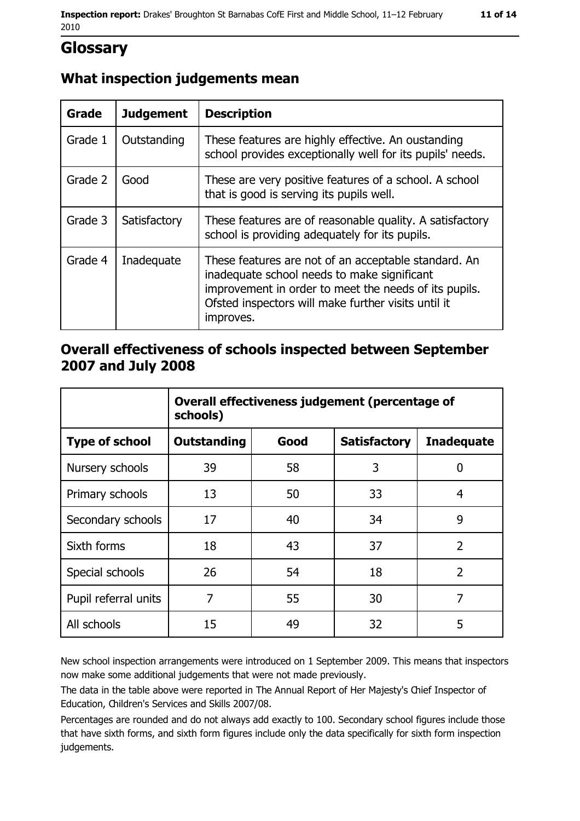## **Glossary**

#### What inspection judgements mean

| <b>Grade</b> | <b>Judgement</b> | <b>Description</b>                                                                                                                                                                                                               |
|--------------|------------------|----------------------------------------------------------------------------------------------------------------------------------------------------------------------------------------------------------------------------------|
| Grade 1      | Outstanding      | These features are highly effective. An oustanding<br>school provides exceptionally well for its pupils' needs.                                                                                                                  |
| Grade 2      | Good             | These are very positive features of a school. A school<br>that is good is serving its pupils well.                                                                                                                               |
| Grade 3      | Satisfactory     | These features are of reasonable quality. A satisfactory<br>school is providing adequately for its pupils.                                                                                                                       |
| Grade 4      | Inadequate       | These features are not of an acceptable standard. An<br>inadequate school needs to make significant<br>improvement in order to meet the needs of its pupils.<br>Ofsted inspectors will make further visits until it<br>improves. |

#### Overall effectiveness of schools inspected between September 2007 and July 2008

|                       | Overall effectiveness judgement (percentage of<br>schools) |      |                     |                   |
|-----------------------|------------------------------------------------------------|------|---------------------|-------------------|
| <b>Type of school</b> | <b>Outstanding</b>                                         | Good | <b>Satisfactory</b> | <b>Inadequate</b> |
| Nursery schools       | 39                                                         | 58   | 3                   | 0                 |
| Primary schools       | 13                                                         | 50   | 33                  | 4                 |
| Secondary schools     | 17                                                         | 40   | 34                  | 9                 |
| Sixth forms           | 18                                                         | 43   | 37                  | $\overline{2}$    |
| Special schools       | 26                                                         | 54   | 18                  | $\overline{2}$    |
| Pupil referral units  | 7                                                          | 55   | 30                  | 7                 |
| All schools           | 15                                                         | 49   | 32                  | 5                 |

New school inspection arrangements were introduced on 1 September 2009. This means that inspectors now make some additional judgements that were not made previously.

The data in the table above were reported in The Annual Report of Her Majesty's Chief Inspector of Education, Children's Services and Skills 2007/08.

Percentages are rounded and do not always add exactly to 100. Secondary school figures include those that have sixth forms, and sixth form figures include only the data specifically for sixth form inspection judgements.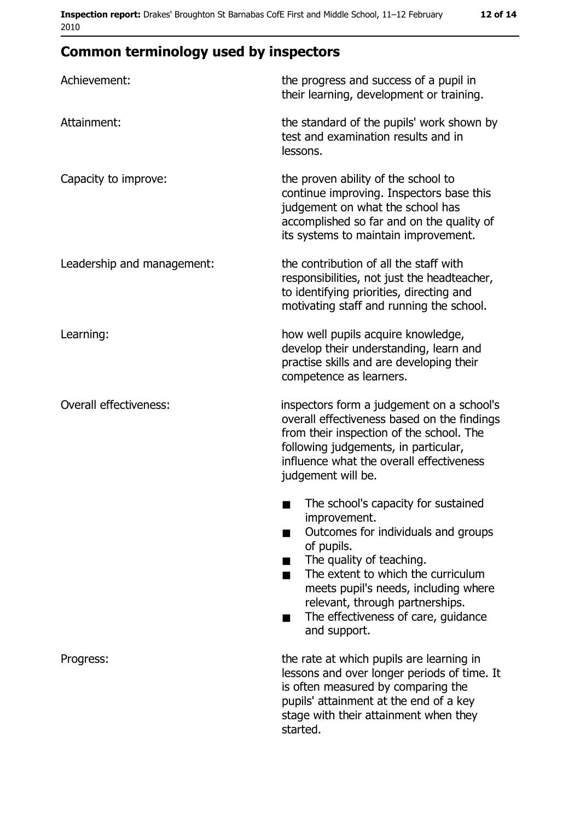# **Common terminology used by inspectors**

| Achievement:                  | the progress and success of a pupil in<br>their learning, development or training.                                                                                                                                                                                                                                     |  |
|-------------------------------|------------------------------------------------------------------------------------------------------------------------------------------------------------------------------------------------------------------------------------------------------------------------------------------------------------------------|--|
| Attainment:                   | the standard of the pupils' work shown by<br>test and examination results and in<br>lessons.                                                                                                                                                                                                                           |  |
| Capacity to improve:          | the proven ability of the school to<br>continue improving. Inspectors base this<br>judgement on what the school has<br>accomplished so far and on the quality of<br>its systems to maintain improvement.                                                                                                               |  |
| Leadership and management:    | the contribution of all the staff with<br>responsibilities, not just the headteacher,<br>to identifying priorities, directing and<br>motivating staff and running the school.                                                                                                                                          |  |
| Learning:                     | how well pupils acquire knowledge,<br>develop their understanding, learn and<br>practise skills and are developing their<br>competence as learners.                                                                                                                                                                    |  |
| <b>Overall effectiveness:</b> | inspectors form a judgement on a school's<br>overall effectiveness based on the findings<br>from their inspection of the school. The<br>following judgements, in particular,<br>influence what the overall effectiveness<br>judgement will be.                                                                         |  |
|                               | The school's capacity for sustained<br>improvement.<br>Outcomes for individuals and groups<br>of pupils.<br>The quality of teaching.<br>The extent to which the curriculum<br>٠<br>meets pupil's needs, including where<br>relevant, through partnerships.<br>The effectiveness of care, guidance<br>٠<br>and support. |  |
| Progress:                     | the rate at which pupils are learning in<br>lessons and over longer periods of time. It<br>is often measured by comparing the<br>pupils' attainment at the end of a key<br>stage with their attainment when they<br>started.                                                                                           |  |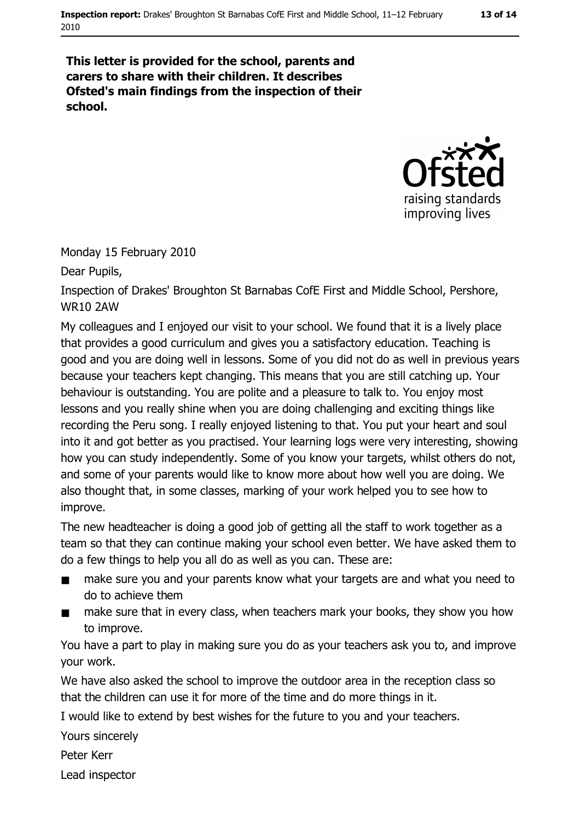#### This letter is provided for the school, parents and carers to share with their children. It describes Ofsted's main findings from the inspection of their school.



Monday 15 February 2010

Dear Pupils,

Inspection of Drakes' Broughton St Barnabas CofE First and Middle School, Pershore, **WR10 2AW** 

My colleagues and I enjoved our visit to your school. We found that it is a lively place that provides a good curriculum and gives you a satisfactory education. Teaching is good and you are doing well in lessons. Some of you did not do as well in previous years because your teachers kept changing. This means that you are still catching up. Your behaviour is outstanding. You are polite and a pleasure to talk to. You enjoy most lessons and you really shine when you are doing challenging and exciting things like recording the Peru song. I really enjoyed listening to that. You put your heart and soul into it and got better as you practised. Your learning logs were very interesting, showing how you can study independently. Some of you know your targets, whilst others do not, and some of your parents would like to know more about how well you are doing. We also thought that, in some classes, marking of your work helped you to see how to improve.

The new headteacher is doing a good job of getting all the staff to work together as a team so that they can continue making your school even better. We have asked them to do a few things to help you all do as well as you can. These are:

- make sure you and your parents know what your targets are and what you need to  $\blacksquare$ do to achieve them
- make sure that in every class, when teachers mark your books, they show you how  $\blacksquare$ to improve.

You have a part to play in making sure you do as your teachers ask you to, and improve vour work.

We have also asked the school to improve the outdoor area in the reception class so that the children can use it for more of the time and do more things in it.

I would like to extend by best wishes for the future to you and your teachers.

Yours sincerely

Peter Kerr

Lead inspector